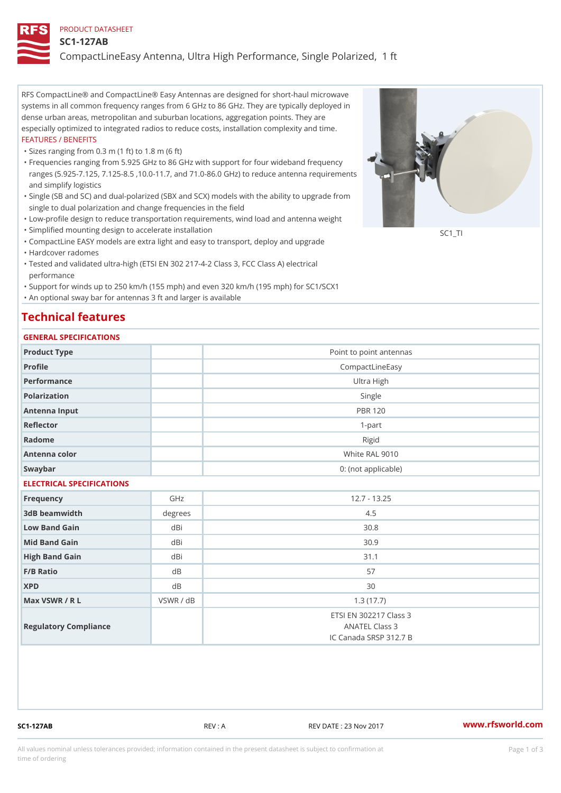### PRODUCT DATASHEET

#### SC1-127AB

CompactLineEasy Antenna, Ultra High Performance, Single Polarized,

RFS CompactLine® and CompactLine® Easy Antennas are designed for short-haul microwave systems in all common frequency ranges from 6 GHz to 86 GHz. They are typically deployed in dense urban areas, metropolitan and suburban locations, aggregation points. They are especially optimized to integrated radios to reduce costs, installation complexity and time. FEATURES / BENEFITS

"Sizes ranging from 0.3 m (1 ft) to 1.8 m (6 ft)

- Frequencies ranging from 5.925 GHz to 86 GHz with support for four wideband frequency " ranges (5.925-7.125, 7.125-8.5 ,10.0-11.7, and 71.0-86.0 GHz) to reduce antenna requirements and simplify logistics
- Single (SB and SC) and dual-polarized (SBX and SCX) models with the ability to upgrade from " single to dual polarization and change frequencies in the field
- "Low-profile design to reduce transportation requirements, wind load and antenna weight
- "Simplified mounting design to accelerate installation

 "CompactLine EASY models are extra light and easy to transport, deploy and upgrade "Hardcover radomes

Tested and validated ultra-high (ETSI EN 302 217-4-2 Class 3, FCC Class A) electrical " performance

 "Support for winds up to 250 km/h (155 mph) and even 320 km/h (195 mph) for SC1/SCX1 "An optional sway bar for antennas 3 ft and larger is available

## Technical features

### GENERAL SPECIFICATIONS

| OLIVERAL OF LOTITOATIONS  |                |                                                                    |  |  |  |  |
|---------------------------|----------------|--------------------------------------------------------------------|--|--|--|--|
| Product Type              |                | Point to point antennas                                            |  |  |  |  |
| Profile                   |                | CompactLineEasy                                                    |  |  |  |  |
| Performance               | Ultra High     |                                                                    |  |  |  |  |
| Polarization              |                | Single                                                             |  |  |  |  |
| Antenna Input             |                | <b>PBR 120</b>                                                     |  |  |  |  |
| Reflector                 |                | $1 - p$ art                                                        |  |  |  |  |
| Radome                    |                | Rigid                                                              |  |  |  |  |
| Antenna color             |                | White RAL 9010                                                     |  |  |  |  |
| Swaybar                   |                | 0: (not applicable)                                                |  |  |  |  |
| ELECTRICAL SPECIFICATIONS |                |                                                                    |  |  |  |  |
| Frequency                 | GHz            | $12.7 - 13.25$                                                     |  |  |  |  |
| 3dB beamwidth             | degree:<br>4.5 |                                                                    |  |  |  |  |
| Low Band Gain             | dBi            | 30.8                                                               |  |  |  |  |
| Mid Band Gain             | dBi            | 30.9                                                               |  |  |  |  |
| High Band Gain            | dBi            | 31.1                                                               |  |  |  |  |
| F/B Ratio                 | d B            | 57                                                                 |  |  |  |  |
| <b>XPD</b>                | $d$ B          | 30                                                                 |  |  |  |  |
| Max VSWR / R L            | VSWR / dB      | 1.3(17.7)                                                          |  |  |  |  |
| Regulatory Compliance     |                | ETSI EN 302217 Class 3<br>ANATEL Class 3<br>IC Canada SRSP 312.7 B |  |  |  |  |

SC1-127AB REV : A REV DATE : 23 Nov 2017 [www.](https://www.rfsworld.com)rfsworld.com

SC<sub>1</sub>TI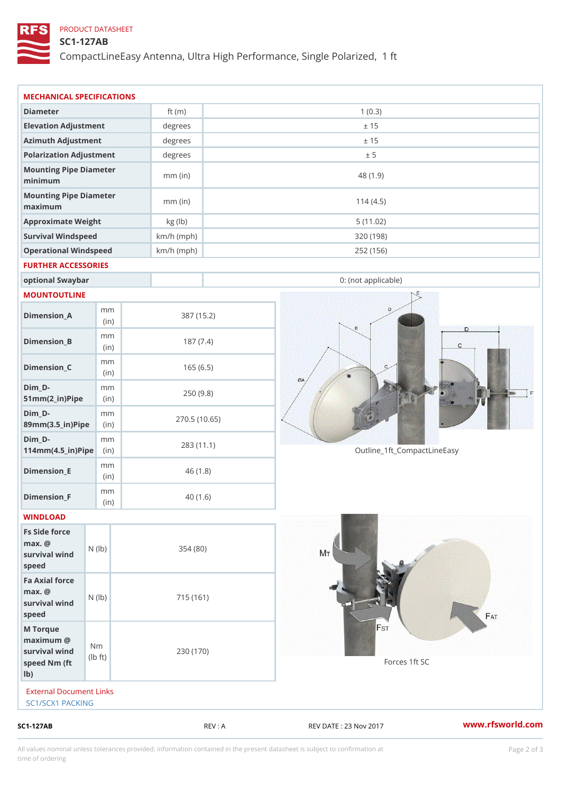## PRODUCT DATASHEET

## SC1-127AB

CompactLineEasy Antenna, Ultra High Performance, Single Polarized,

| SC1-127AB                                                          |                                   |                      | REV : A    | REV DATE : 23 Nov 2017      | www.rfsworld.co |
|--------------------------------------------------------------------|-----------------------------------|----------------------|------------|-----------------------------|-----------------|
| External Document Links<br>SC1/SCX1 PACKING                        |                                   |                      |            |                             |                 |
| M Torque<br>$maximum$ @<br>survival wind<br>speed Nm (ft<br>$1b$ ) | N <sub>m</sub><br>$\pm$ t)<br>l b | 230 (170)            |            | Forces 1ft SC               |                 |
| Fa Axial force<br>$max.$ @<br>survival wind (1b)<br>speed          |                                   | 715 (161)            |            |                             |                 |
| Fs Side force<br>$max.$ @<br>survival wind (1b)<br>speed           |                                   | 354(80)              |            |                             |                 |
| WINDLOAD                                                           |                                   |                      |            |                             |                 |
| $Dimension_F$                                                      | m m<br>(in)                       |                      | 40(1.6)    |                             |                 |
| $Dimension$ _ $E$                                                  | m m<br>(in)                       |                      | 46(1.8)    |                             |                 |
| $Dim_D - D -$<br>$114$ m m (4.5 _ ir ) $\sqrt{$ ii p $\sqrt{ }$    | m m                               | 283 (11.1)           |            | Outline_1ft_CompactLineEasy |                 |
| $Dim_D - D -$<br>89mm (3.5_in) Pi(pine)                            | m m                               | 270.5(10.65)         |            |                             |                 |
| $Dim_D -$<br>$51mm(2_in)Pip@in$                                    | m m                               |                      | 250(9.8)   |                             |                 |
| $Dimension_C$                                                      | m m<br>(in)                       |                      | 165(6.5)   |                             |                 |
| $Dimension_B$                                                      | m m<br>(in)                       |                      | 187(7.4)   |                             |                 |
| $Dimension_A$                                                      | m m<br>(in)                       |                      | 387 (15.2) |                             |                 |
| MOUNTOUTLINE                                                       |                                   |                      |            |                             |                 |
| optional Swaybar                                                   |                                   |                      |            | 0: (not applicable)         |                 |
| FURTHER ACCESSORIES                                                |                                   |                      |            |                             |                 |
| Operational Windspeed                                              |                                   | $km/h$ (mph)         |            | 252 (156)                   |                 |
| Survival Windspeed                                                 |                                   | $km/h$ (mph)         |            | 320 (198)                   |                 |
| maximum<br>Approximate Weight                                      |                                   | $mm$ (in)<br>kg (lb) |            | 114(4.5)<br>5(11.02)        |                 |
| minimum<br>Mounting Pipe Diameter                                  |                                   | $mm$ (in)            |            | 48 (1.9)                    |                 |
| Mounting Pipe Diameter                                             |                                   |                      |            |                             |                 |
| Polarization Adjustment                                            |                                   | degrees              |            | ± 5                         |                 |
| Azimuth Adjustment                                                 |                                   | degrees<br>degrees   |            | ± 15                        |                 |
| Diameter<br>Elevation Adjustment                                   |                                   | ft $(m)$             |            | 1(0.3)<br>± 15              |                 |
|                                                                    |                                   |                      |            |                             |                 |

All values nominal unless tolerances provided; information contained in the present datasheet is subject to Pcapgelio an atio time of ordering